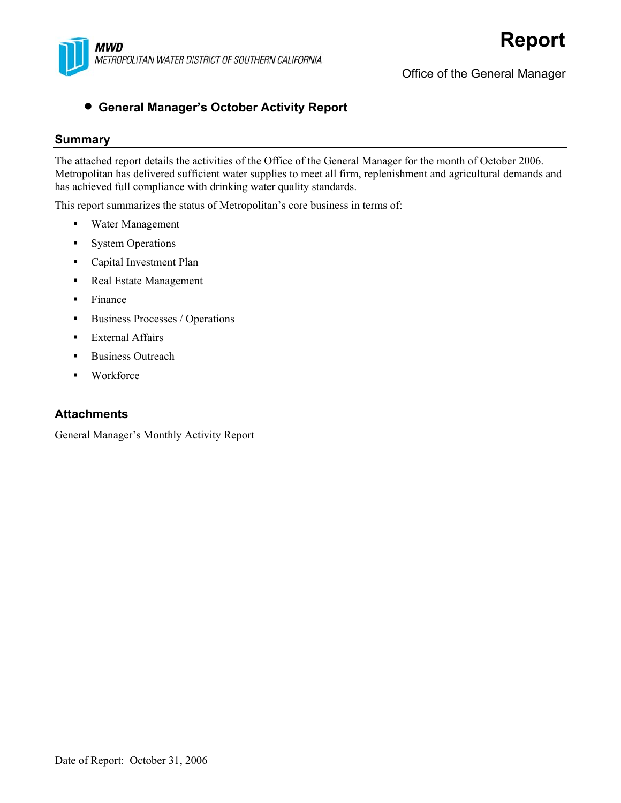

Office of the General Manager

#### • **General Manager's October Activity Report**

#### **Summary**

The attached report details the activities of the Office of the General Manager for the month of October 2006. Metropolitan has delivered sufficient water supplies to meet all firm, replenishment and agricultural demands and has achieved full compliance with drinking water quality standards.

This report summarizes the status of Metropolitan's core business in terms of:

- Water Management
- System Operations
- **Capital Investment Plan**
- Real Estate Management
- $\blacksquare$  Finance
- Business Processes / Operations
- External Affairs
- Business Outreach
- Workforce

#### **Attachments**

General Manager's Monthly Activity Report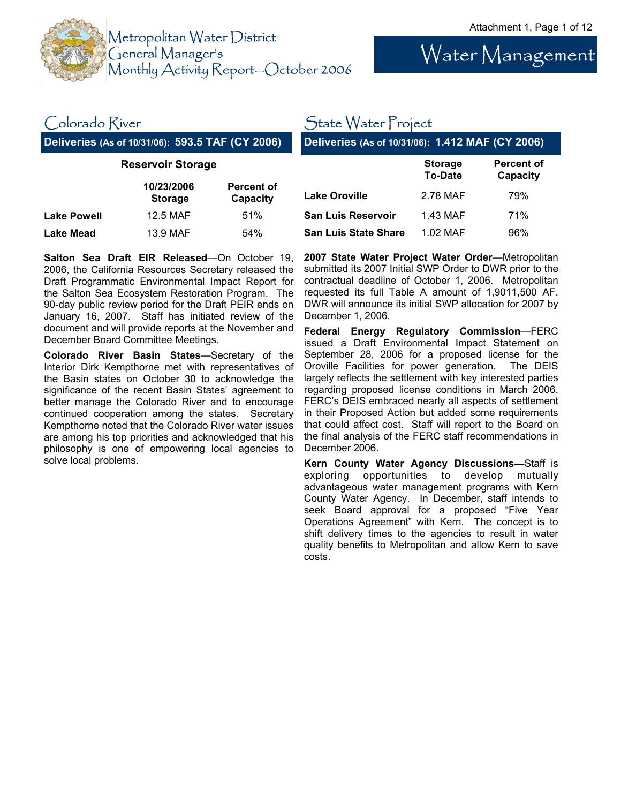

Water Management

#### Colorado River

**Deliveries (As of 10/31/06): 593.5 TAF (CY 2006)** 

#### **Reservoir Storage**

|                    | 10/23/2006<br><b>Storage</b> | <b>Percent of</b><br>Capacity |
|--------------------|------------------------------|-------------------------------|
| <b>Lake Powell</b> | 12.5 MAF                     | 51%                           |
| <b>Lake Mead</b>   | 13.9 MAF                     | 54%                           |

## State Water Project

**Deliveries (As of 10/31/06): 1.412 MAF (CY 2006)** 

|                             | <b>Storage</b><br><b>To-Date</b> | <b>Percent of</b><br>Capacity |
|-----------------------------|----------------------------------|-------------------------------|
| <b>Lake Oroville</b>        | 2.78 MAF                         | 79%                           |
| <b>San Luis Reservoir</b>   | 1.43 MAF                         | 71%                           |
| <b>San Luis State Share</b> | 1.02 MAF                         | 96%                           |

**Salton Sea Draft EIR Released**—On October 19, 2006, the California Resources Secretary released the Draft Programmatic Environmental Impact Report for the Salton Sea Ecosystem Restoration Program. The 90-day public review period for the Draft PEIR ends on January 16, 2007. Staff has initiated review of the document and will provide reports at the November and December Board Committee Meetings.

**Colorado River Basin States**—Secretary of the Interior Dirk Kempthorne met with representatives of the Basin states on October 30 to acknowledge the significance of the recent Basin States' agreement to better manage the Colorado River and to encourage continued cooperation among the states. Secretary Kempthorne noted that the Colorado River water issues are among his top priorities and acknowledged that his philosophy is one of empowering local agencies to solve local problems.

**2007 State Water Project Water Order**—Metropolitan submitted its 2007 Initial SWP Order to DWR prior to the contractual deadline of October 1, 2006. Metropolitan requested its full Table A amount of 1,9011,500 AF. DWR will announce its initial SWP allocation for 2007 by December 1, 2006.

**Federal Energy Regulatory Commission**—FERC issued a Draft Environmental Impact Statement on September 28, 2006 for a proposed license for the Oroville Facilities for power generation. The DEIS largely reflects the settlement with key interested parties regarding proposed license conditions in March 2006. FERC's DEIS embraced nearly all aspects of settlement in their Proposed Action but added some requirements that could affect cost. Staff will report to the Board on the final analysis of the FERC staff recommendations in December 2006.

**Kern County Water Agency Discussions—**Staff is exploring opportunities to develop mutually advantageous water management programs with Kern County Water Agency. In December, staff intends to seek Board approval for a proposed "Five Year Operations Agreement" with Kern. The concept is to shift delivery times to the agencies to result in water quality benefits to Metropolitan and allow Kern to save costs.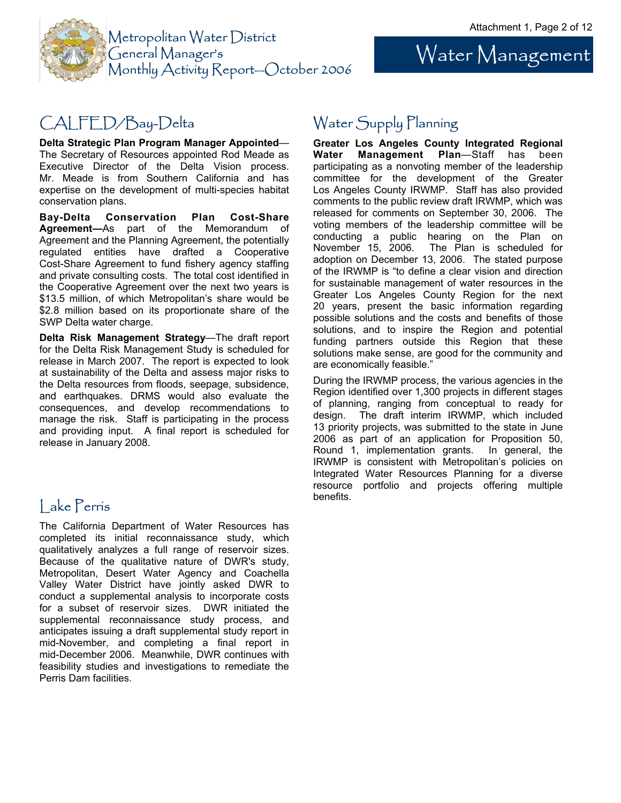Water Management



# CALFED/Bay-Delta

**Delta Strategic Plan Program Manager Appointed**— The Secretary of Resources appointed Rod Meade as Executive Director of the Delta Vision process. Mr. Meade is from Southern California and has expertise on the development of multi-species habitat conservation plans.

**Bay-Delta Conservation Plan Cost-Share Agreement—**As part of the Memorandum of Agreement and the Planning Agreement, the potentially regulated entities have drafted a Cooperative Cost-Share Agreement to fund fishery agency staffing and private consulting costs. The total cost identified in the Cooperative Agreement over the next two years is \$13.5 million, of which Metropolitan's share would be \$2.8 million based on its proportionate share of the SWP Delta water charge.

**Delta Risk Management Strategy**—The draft report for the Delta Risk Management Study is scheduled for release in March 2007. The report is expected to look at sustainability of the Delta and assess major risks to the Delta resources from floods, seepage, subsidence, and earthquakes. DRMS would also evaluate the consequences, and develop recommendations to manage the risk. Staff is participating in the process and providing input. A final report is scheduled for release in January 2008.

# l ake Perris and the contract of the benefits.

The California Department of Water Resources has completed its initial reconnaissance study, which qualitatively analyzes a full range of reservoir sizes. Because of the qualitative nature of DWR's study, Metropolitan, Desert Water Agency and Coachella Valley Water District have jointly asked DWR to conduct a supplemental analysis to incorporate costs for a subset of reservoir sizes. DWR initiated the supplemental reconnaissance study process, and anticipates issuing a draft supplemental study report in mid-November, and completing a final report in mid-December 2006. Meanwhile, DWR continues with feasibility studies and investigations to remediate the Perris Dam facilities.

# Water Supply Planning

**Greater Los Angeles County Integrated Regional Water Management Plan**—Staff has been participating as a nonvoting member of the leadership committee for the development of the Greater Los Angeles County IRWMP. Staff has also provided comments to the public review draft IRWMP, which was released for comments on September 30, 2006. The voting members of the leadership committee will be conducting a public hearing on the Plan on November 15, 2006. The Plan is scheduled for adoption on December 13, 2006. The stated purpose of the IRWMP is "to define a clear vision and direction for sustainable management of water resources in the Greater Los Angeles County Region for the next 20 years, present the basic information regarding possible solutions and the costs and benefits of those solutions, and to inspire the Region and potential funding partners outside this Region that these solutions make sense, are good for the community and are economically feasible."

During the IRWMP process, the various agencies in the Region identified over 1,300 projects in different stages of planning, ranging from conceptual to ready for design. The draft interim IRWMP, which included 13 priority projects, was submitted to the state in June 2006 as part of an application for Proposition 50, Round 1, implementation grants. In general, the IRWMP is consistent with Metropolitan's policies on Integrated Water Resources Planning for a diverse resource portfolio and projects offering multiple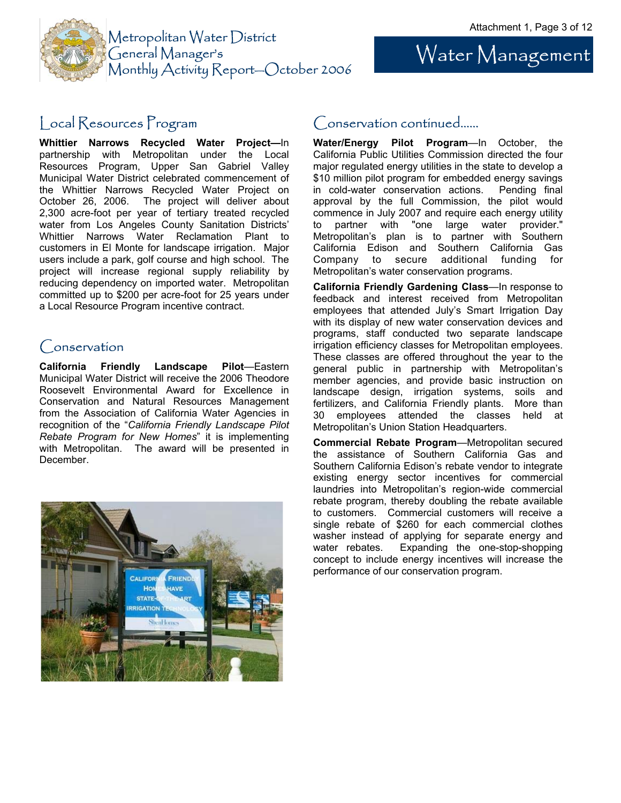Water Management



### Local Resources Program

**Whittier Narrows Recycled Water Project—**In partnership with Metropolitan under the Local Resources Program, Upper San Gabriel Valley Municipal Water District celebrated commencement of the Whittier Narrows Recycled Water Project on October 26, 2006. The project will deliver about 2,300 acre-foot per year of tertiary treated recycled water from Los Angeles County Sanitation Districts' Whittier Narrows Water Reclamation Plant to customers in El Monte for landscape irrigation. Major users include a park, golf course and high school. The project will increase regional supply reliability by reducing dependency on imported water. Metropolitan committed up to \$200 per acre-foot for 25 years under a Local Resource Program incentive contract.

#### Conservation

**California Friendly Landscape Pilot**—Eastern Municipal Water District will receive the 2006 Theodore Roosevelt Environmental Award for Excellence in Conservation and Natural Resources Management from the Association of California Water Agencies in recognition of the "*California Friendly Landscape Pilot Rebate Program for New Homes*" it is implementing with Metropolitan. The award will be presented in December.



#### Conservation continued…...

**Water/Energy Pilot Program**—In October, the California Public Utilities Commission directed the four major regulated energy utilities in the state to develop a \$10 million pilot program for embedded energy savings in cold-water conservation actions. Pending final approval by the full Commission, the pilot would commence in July 2007 and require each energy utility to partner with "one large water provider." Metropolitan's plan is to partner with Southern California Edison and Southern California Gas Company to secure additional funding for Metropolitan's water conservation programs.

**California Friendly Gardening Class**—In response to feedback and interest received from Metropolitan employees that attended July's Smart Irrigation Day with its display of new water conservation devices and programs, staff conducted two separate landscape irrigation efficiency classes for Metropolitan employees. These classes are offered throughout the year to the general public in partnership with Metropolitan's member agencies, and provide basic instruction on landscape design, irrigation systems, soils and fertilizers, and California Friendly plants. More than 30 employees attended the classes held at Metropolitan's Union Station Headquarters.

**Commercial Rebate Program**—Metropolitan secured the assistance of Southern California Gas and Southern California Edison's rebate vendor to integrate existing energy sector incentives for commercial laundries into Metropolitan's region-wide commercial rebate program, thereby doubling the rebate available to customers. Commercial customers will receive a single rebate of \$260 for each commercial clothes washer instead of applying for separate energy and water rebates. Expanding the one-stop-shopping concept to include energy incentives will increase the performance of our conservation program.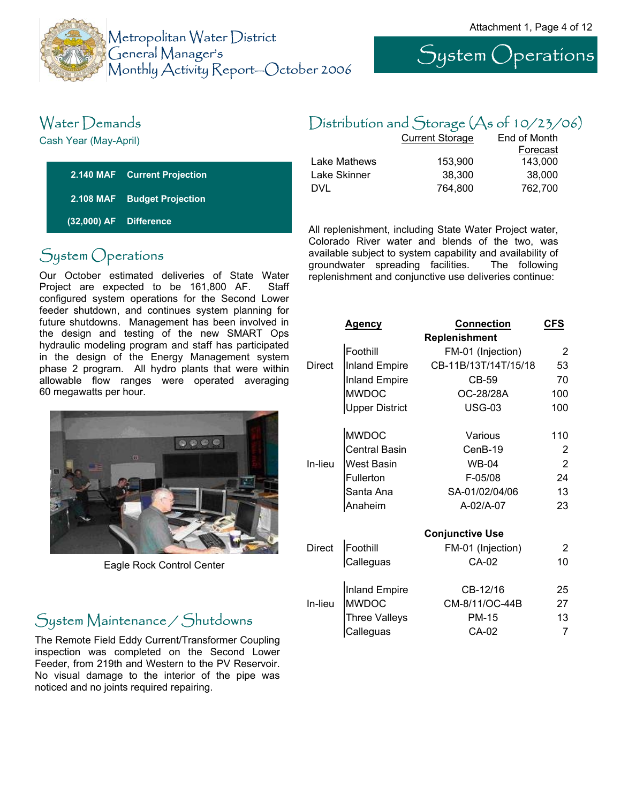

System Operations

# Water Demands

Cash Year (May-April)

|                        | 2.140 MAF Current Projection |
|------------------------|------------------------------|
|                        | 2.108 MAF Budget Projection  |
| (32,000) AF Difference |                              |

# System Operations

Our October estimated deliveries of State Water Project are expected to be 161,800 AF. Staff configured system operations for the Second Lower feeder shutdown, and continues system planning for future shutdowns. Management has been involved in the design and testing of the new SMART Ops hydraulic modeling program and staff has participated in the design of the Energy Management system phase 2 program. All hydro plants that were within allowable flow ranges were operated averaging 60 megawatts per hour.



Eagle Rock Control Center

# System Maintenance / Shutdowns

The Remote Field Eddy Current/Transformer Coupling inspection was completed on the Second Lower Feeder, from 219th and Western to the PV Reservoir. No visual damage to the interior of the pipe was noticed and no joints required repairing.

# Distribution and Storage (As of 10/23/06)

|              | <b>Current Storage</b> | End of Month |  |
|--------------|------------------------|--------------|--|
|              |                        | Forecast     |  |
| Lake Mathews | 153.900                | 143.000      |  |
| Lake Skinner | 38,300                 | 38,000       |  |
| DVL          | 764.800                | 762.700      |  |

All replenishment, including State Water Project water, Colorado River water and blends of the two, was available subject to system capability and availability of groundwater spreading facilities. The following replenishment and conjunctive use deliveries continue:

|               | <u>Agency</u>         | <b>Connection</b>      | CFS            |
|---------------|-----------------------|------------------------|----------------|
|               |                       | Replenishment          |                |
|               | Foothill              | FM-01 (Injection)      | 2              |
| <b>Direct</b> | <b>Inland Empire</b>  | CB-11B/13T/14T/15/18   | 53             |
|               | <b>Inland Empire</b>  | CB-59                  | 70             |
|               | <b>MWDOC</b>          | OC-28/28A              | 100            |
|               | <b>Upper District</b> | <b>USG-03</b>          | 100            |
|               | <b>MWDOC</b>          | Various                | 110            |
|               | Central Basin         | CenB-19                | $\overline{2}$ |
| In-lieu       | <b>West Basin</b>     | <b>WB-04</b>           | $\overline{2}$ |
|               | Fullerton             | F-05/08                | 24             |
|               | Santa Ana             | SA-01/02/04/06         | 13             |
|               | Anaheim               | A-02/A-07              | 23             |
|               |                       | <b>Conjunctive Use</b> |                |
| <b>Direct</b> | Foothill              | FM-01 (Injection)      | $\overline{2}$ |
|               | Calleguas             | CA-02                  | 10             |
|               | <b>Inland Empire</b>  | CB-12/16               | 25             |
| In-lieu       | <b>MWDOC</b>          | CM-8/11/OC-44B         | 27             |
|               | <b>Three Valleys</b>  | <b>PM-15</b>           | 13             |
|               | Calleguas             | CA-02                  | 7              |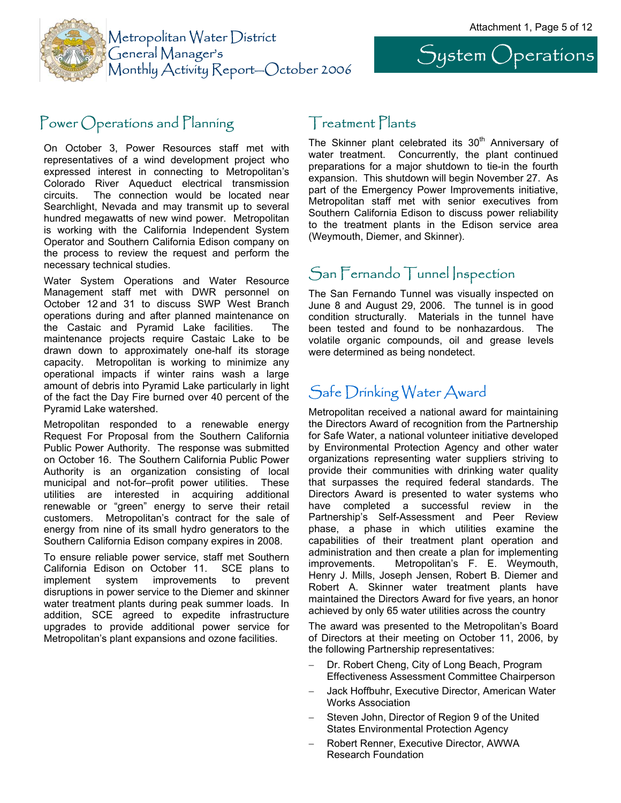System Operations



# Power Operations and Planning Treatment Plants

On October 3, Power Resources staff met with representatives of a wind development project who expressed interest in connecting to Metropolitan's Colorado River Aqueduct electrical transmission circuits. The connection would be located near Searchlight, Nevada and may transmit up to several hundred megawatts of new wind power. Metropolitan is working with the California Independent System Operator and Southern California Edison company on the process to review the request and perform the necessary technical studies.

Water System Operations and Water Resource Management staff met with DWR personnel on October 12 and 31 to discuss SWP West Branch operations during and after planned maintenance on the Castaic and Pyramid Lake facilities. The maintenance projects require Castaic Lake to be drawn down to approximately one-half its storage capacity. Metropolitan is working to minimize any operational impacts if winter rains wash a large amount of debris into Pyramid Lake particularly in light of the fact the Day Fire burned over 40 percent of the Pyramid Lake watershed.

Metropolitan responded to a renewable energy Request For Proposal from the Southern California Public Power Authority. The response was submitted on October 16. The Southern California Public Power Authority is an organization consisting of local municipal and not-for–profit power utilities. These utilities are interested in acquiring additional renewable or "green" energy to serve their retail customers. Metropolitan's contract for the sale of energy from nine of its small hydro generators to the Southern California Edison company expires in 2008.

To ensure reliable power service, staff met Southern California Edison on October 11. SCE plans to implement system improvements to prevent disruptions in power service to the Diemer and skinner water treatment plants during peak summer loads. In addition, SCE agreed to expedite infrastructure upgrades to provide additional power service for Metropolitan's plant expansions and ozone facilities.

The Skinner plant celebrated its  $30<sup>th</sup>$  Anniversary of water treatment. Concurrently, the plant continued preparations for a major shutdown to tie-in the fourth expansion. This shutdown will begin November 27. As part of the Emergency Power Improvements initiative, Metropolitan staff met with senior executives from Southern California Edison to discuss power reliability to the treatment plants in the Edison service area (Weymouth, Diemer, and Skinner).

#### San Fernando Tunnel Inspection

The San Fernando Tunnel was visually inspected on June 8 and August 29, 2006. The tunnel is in good condition structurally. Materials in the tunnel have been tested and found to be nonhazardous. The volatile organic compounds, oil and grease levels were determined as being nondetect.

# Safe Drinking Water Award

Metropolitan received a national award for maintaining the Directors Award of recognition from the Partnership for Safe Water, a national volunteer initiative developed by Environmental Protection Agency and other water organizations representing water suppliers striving to provide their communities with drinking water quality that surpasses the required federal standards. The Directors Award is presented to water systems who have completed a successful review in the Partnership's Self-Assessment and Peer Review phase, a phase in which utilities examine the capabilities of their treatment plant operation and administration and then create a plan for implementing improvements. Metropolitan's F. E. Weymouth, Henry J. Mills, Joseph Jensen, Robert B. Diemer and Robert A. Skinner water treatment plants have maintained the Directors Award for five years, an honor achieved by only 65 water utilities across the country

The award was presented to the Metropolitan's Board of Directors at their meeting on October 11, 2006, by the following Partnership representatives:

- − Dr. Robert Cheng, City of Long Beach, Program Effectiveness Assessment Committee Chairperson
- − Jack Hoffbuhr, Executive Director, American Water Works Association
- Steven John, Director of Region 9 of the United States Environmental Protection Agency
- − Robert Renner, Executive Director, AWWA Research Foundation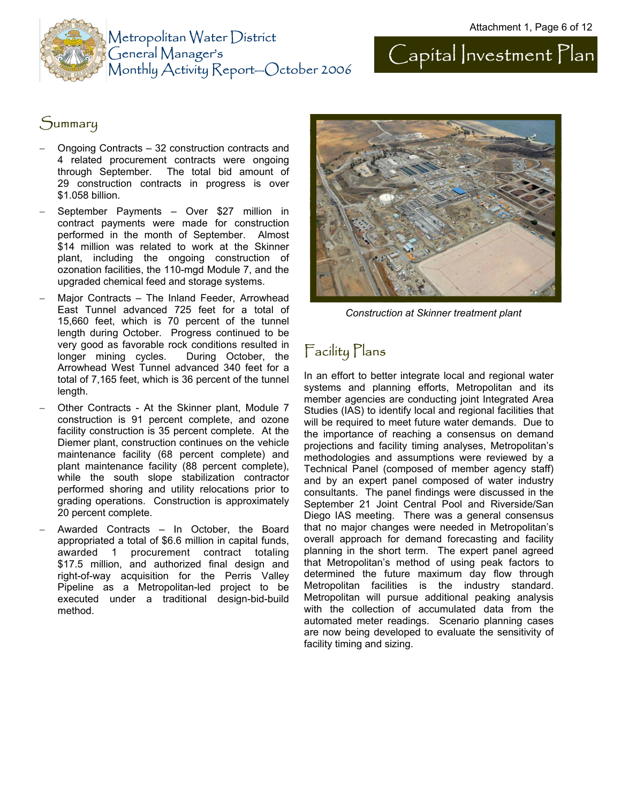



#### Summary

- − Ongoing Contracts 32 construction contracts and 4 related procurement contracts were ongoing through September. The total bid amount of 29 construction contracts in progress is over \$1.058 billion.
- − September Payments Over \$27 million in contract payments were made for construction performed in the month of September. Almost \$14 million was related to work at the Skinner plant, including the ongoing construction of ozonation facilities, the 110-mgd Module 7, and the upgraded chemical feed and storage systems.
- Major Contracts The Inland Feeder, Arrowhead East Tunnel advanced 725 feet for a total of 15,660 feet, which is 70 percent of the tunnel length during October. Progress continued to be very good as favorable rock conditions resulted in longer mining cycles. During October, the Arrowhead West Tunnel advanced 340 feet for a total of 7,165 feet, which is 36 percent of the tunnel length.
- − Other Contracts At the Skinner plant, Module 7 construction is 91 percent complete, and ozone facility construction is 35 percent complete. At the Diemer plant, construction continues on the vehicle maintenance facility (68 percent complete) and plant maintenance facility (88 percent complete), while the south slope stabilization contractor performed shoring and utility relocations prior to grading operations. Construction is approximately 20 percent complete.
- − Awarded Contracts In October, the Board appropriated a total of \$6.6 million in capital funds, awarded 1 procurement contract totaling \$17.5 million, and authorized final design and right-of-way acquisition for the Perris Valley Pipeline as a Metropolitan-led project to be executed under a traditional design-bid-build method.



*Construction at Skinner treatment plant* 

# Facility Plans

In an effort to better integrate local and regional water systems and planning efforts, Metropolitan and its member agencies are conducting joint Integrated Area Studies (IAS) to identify local and regional facilities that will be required to meet future water demands. Due to the importance of reaching a consensus on demand projections and facility timing analyses, Metropolitan's methodologies and assumptions were reviewed by a Technical Panel (composed of member agency staff) and by an expert panel composed of water industry consultants. The panel findings were discussed in the September 21 Joint Central Pool and Riverside/San Diego IAS meeting. There was a general consensus that no major changes were needed in Metropolitan's overall approach for demand forecasting and facility planning in the short term. The expert panel agreed that Metropolitan's method of using peak factors to determined the future maximum day flow through Metropolitan facilities is the industry standard. Metropolitan will pursue additional peaking analysis with the collection of accumulated data from the automated meter readings. Scenario planning cases are now being developed to evaluate the sensitivity of facility timing and sizing.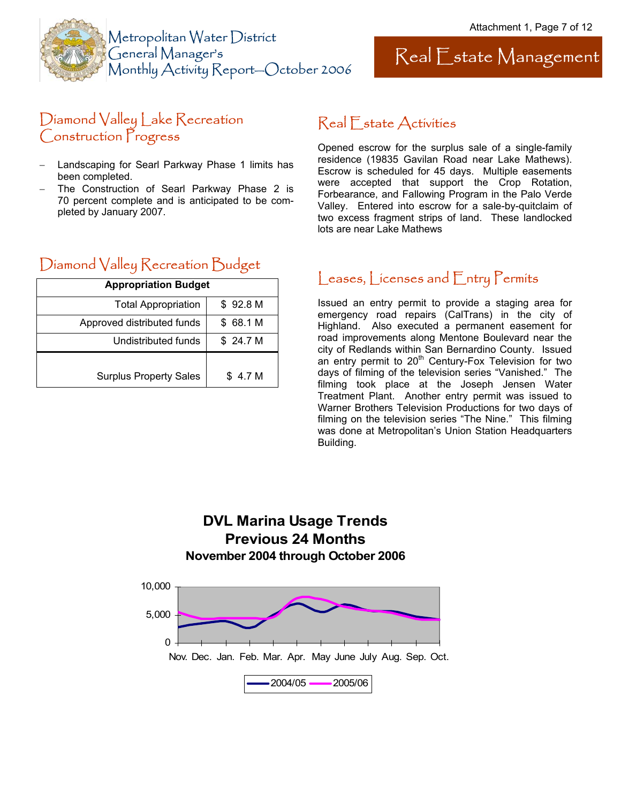



#### Diamond Valley Lake Recreation Construction Progress

- Landscaping for Searl Parkway Phase 1 limits has been completed.
- − The Construction of Searl Parkway Phase 2 is 70 percent complete and is anticipated to be completed by January 2007.

## Real Estate Activities

Opened escrow for the surplus sale of a single-family residence (19835 Gavilan Road near Lake Mathews). Escrow is scheduled for 45 days. Multiple easements were accepted that support the Crop Rotation, Forbearance, and Fallowing Program in the Palo Verde Valley. Entered into escrow for a sale-by-quitclaim of two excess fragment strips of land. These landlocked lots are near Lake Mathews

## Diamond Valley Recreation Budget

| <b>Appropriation Budget</b>   |                    |  |
|-------------------------------|--------------------|--|
| <b>Total Appropriation</b>    | \$92.8M            |  |
| Approved distributed funds    | \$68.1 M           |  |
| Undistributed funds           | \$24.7 M           |  |
|                               |                    |  |
| <b>Surplus Property Sales</b> | \$4.7 <sub>M</sub> |  |

#### Leases, Licenses and Entry Permits

Issued an entry permit to provide a staging area for emergency road repairs (CalTrans) in the city of Highland. Also executed a permanent easement for road improvements along Mentone Boulevard near the city of Redlands within San Bernardino County. Issued an entry permit to 20<sup>th</sup> Century-Fox Television for two days of filming of the television series "Vanished." The filming took place at the Joseph Jensen Water Treatment Plant. Another entry permit was issued to Warner Brothers Television Productions for two days of filming on the television series "The Nine." This filming was done at Metropolitan's Union Station Headquarters Building.

#### **DVL Marina Usage Trends Previous 24 Months November 2004 through October 2006**

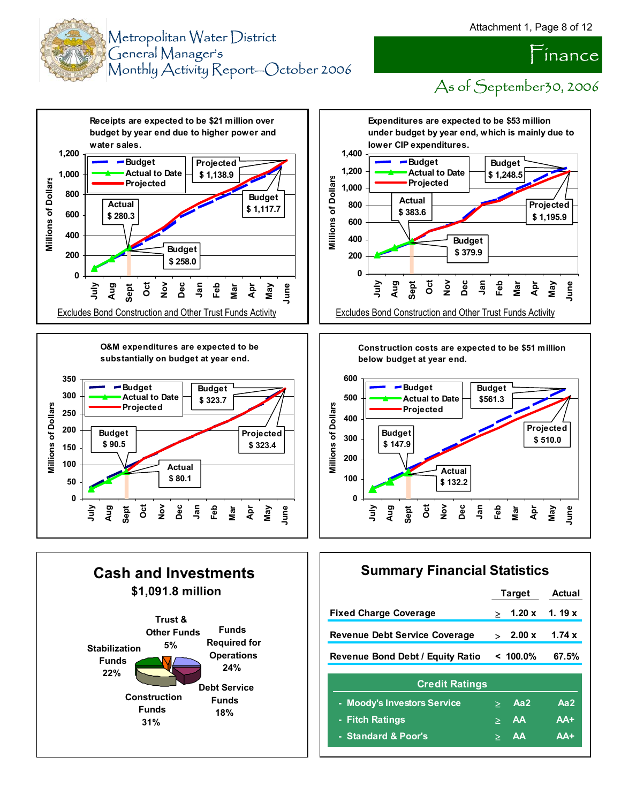



 $\tilde{}$ inance

As of September 30, 2006









**Construction costs are expected to be \$51 million below budget at year end.**



#### **Summary Financial Statistics**

|                                         |                          | <b>Target</b> | Actual   |
|-----------------------------------------|--------------------------|---------------|----------|
| <b>Fixed Charge Coverage</b>            | ⋗                        | 1.20x         | 1.19 $x$ |
| <b>Revenue Debt Service Coverage</b>    | $\overline{\phantom{0}}$ | 2.00 x        | 1.74 $x$ |
| <b>Revenue Bond Debt / Equity Ratio</b> |                          | $< 100.0\%$   | 67.5%    |
| <b>Credit Ratings</b>                   |                          |               |          |
| - Moody's Investors Service             |                          | Aa2           | Aa2      |
| - Fitch Ratings                         | ≥                        | AA            | $AA+$    |
| - Standard & Poor's                     | $\geq$                   | AA            | $AA+$    |
|                                         |                          |               |          |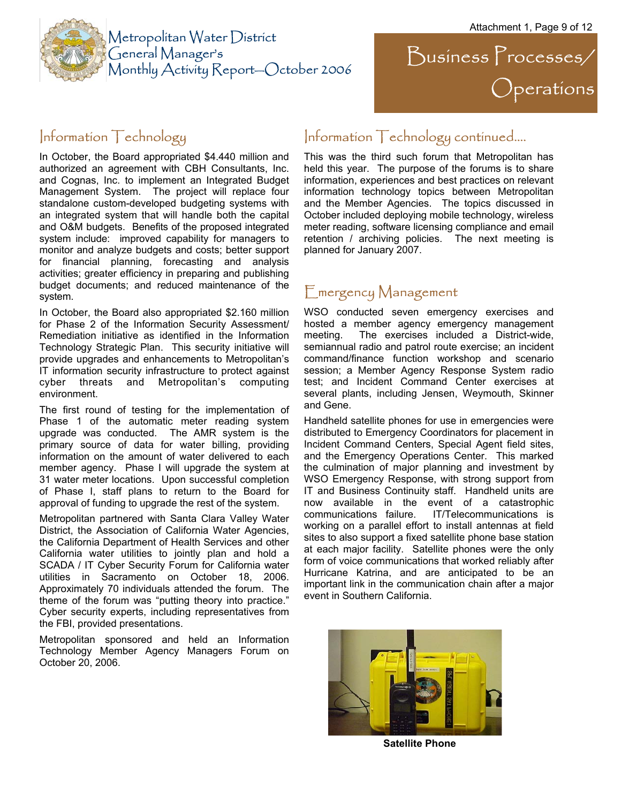Operations

 $\sum$ usiness  $\sum$ rocesses/



## Information Technology continued….

This was the third such forum that Metropolitan has held this year. The purpose of the forums is to share information, experiences and best practices on relevant information technology topics between Metropolitan and the Member Agencies. The topics discussed in October included deploying mobile technology, wireless meter reading, software licensing compliance and email retention / archiving policies. The next meeting is planned for January 2007.

#### Emergency Management

WSO conducted seven emergency exercises and hosted a member agency emergency management meeting. The exercises included a District-wide, semiannual radio and patrol route exercise; an incident command/finance function workshop and scenario session; a Member Agency Response System radio test; and Incident Command Center exercises at several plants, including Jensen, Weymouth, Skinner and Gene.

Handheld satellite phones for use in emergencies were distributed to Emergency Coordinators for placement in Incident Command Centers, Special Agent field sites, and the Emergency Operations Center. This marked the culmination of major planning and investment by WSO Emergency Response, with strong support from IT and Business Continuity staff. Handheld units are now available in the event of a catastrophic communications failure. IT/Telecommunications is working on a parallel effort to install antennas at field sites to also support a fixed satellite phone base station at each major facility. Satellite phones were the only form of voice communications that worked reliably after Hurricane Katrina, and are anticipated to be an important link in the communication chain after a major event in Southern California.



**Satellite Phone** 

#### Information Technology

In October, the Board appropriated \$4.440 million and authorized an agreement with CBH Consultants, Inc. and Cognas, Inc. to implement an Integrated Budget Management System. The project will replace four standalone custom-developed budgeting systems with an integrated system that will handle both the capital and O&M budgets. Benefits of the proposed integrated system include: improved capability for managers to monitor and analyze budgets and costs; better support for financial planning, forecasting and analysis activities; greater efficiency in preparing and publishing budget documents; and reduced maintenance of the system.

In October, the Board also appropriated \$2.160 million for Phase 2 of the Information Security Assessment/ Remediation initiative as identified in the Information Technology Strategic Plan. This security initiative will provide upgrades and enhancements to Metropolitan's IT information security infrastructure to protect against cyber threats and Metropolitan's computing environment.

The first round of testing for the implementation of Phase 1 of the automatic meter reading system upgrade was conducted. The AMR system is the primary source of data for water billing, providing information on the amount of water delivered to each member agency. Phase I will upgrade the system at 31 water meter locations. Upon successful completion of Phase I, staff plans to return to the Board for approval of funding to upgrade the rest of the system.

Metropolitan partnered with Santa Clara Valley Water District, the Association of California Water Agencies, the California Department of Health Services and other California water utilities to jointly plan and hold a SCADA / IT Cyber Security Forum for California water utilities in Sacramento on October 18, 2006. Approximately 70 individuals attended the forum. The theme of the forum was "putting theory into practice." Cyber security experts, including representatives from the FBI, provided presentations.

Metropolitan sponsored and held an Information Technology Member Agency Managers Forum on October 20, 2006.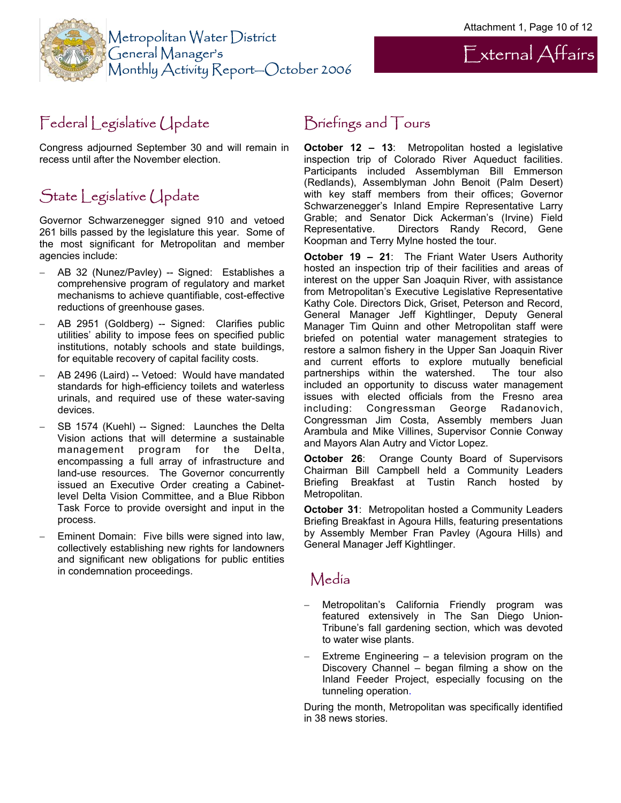External Affairs



# Federal Legislative Update

Congress adjourned September 30 and will remain in recess until after the November election.

# State Legislative Update

Governor Schwarzenegger signed 910 and vetoed 261 bills passed by the legislature this year. Some of the most significant for Metropolitan and member agencies include:

- − AB 32 (Nunez/Pavley) -- Signed: Establishes a comprehensive program of regulatory and market mechanisms to achieve quantifiable, cost-effective reductions of greenhouse gases.
- − AB 2951 (Goldberg) -- Signed: Clarifies public utilities' ability to impose fees on specified public institutions, notably schools and state buildings, for equitable recovery of capital facility costs.
- − AB 2496 (Laird) -- Vetoed: Would have mandated standards for high-efficiency toilets and waterless urinals, and required use of these water-saving devices.
- SB 1574 (Kuehl) -- Signed: Launches the Delta Vision actions that will determine a sustainable management program for the Delta, encompassing a full array of infrastructure and land-use resources. The Governor concurrently issued an Executive Order creating a Cabinetlevel Delta Vision Committee, and a Blue Ribbon Task Force to provide oversight and input in the process.
- Eminent Domain: Five bills were signed into law, collectively establishing new rights for landowners and significant new obligations for public entities in condemnation proceedings.

## Briefings and Tours

**October 12 – 13**: Metropolitan hosted a legislative inspection trip of Colorado River Aqueduct facilities. Participants included Assemblyman Bill Emmerson (Redlands), Assemblyman John Benoit (Palm Desert) with key staff members from their offices; Governor Schwarzenegger's Inland Empire Representative Larry Grable; and Senator Dick Ackerman's (Irvine) Field Representative. Directors Randy Record, Gene Koopman and Terry Mylne hosted the tour.

**October 19 – 21**: The Friant Water Users Authority hosted an inspection trip of their facilities and areas of interest on the upper San Joaquin River, with assistance from Metropolitan's Executive Legislative Representative Kathy Cole. Directors Dick, Griset, Peterson and Record, General Manager Jeff Kightlinger, Deputy General Manager Tim Quinn and other Metropolitan staff were briefed on potential water management strategies to restore a salmon fishery in the Upper San Joaquin River and current efforts to explore mutually beneficial partnerships within the watershed. The tour also included an opportunity to discuss water management issues with elected officials from the Fresno area including: Congressman George Radanovich, Congressman Jim Costa, Assembly members Juan Arambula and Mike Villines, Supervisor Connie Conway and Mayors Alan Autry and Victor Lopez.

**October 26**: Orange County Board of Supervisors Chairman Bill Campbell held a Community Leaders Briefing Breakfast at Tustin Ranch hosted by Metropolitan.

**October 31**: Metropolitan hosted a Community Leaders Briefing Breakfast in Agoura Hills, featuring presentations by Assembly Member Fran Pavley (Agoura Hills) and General Manager Jeff Kightlinger.

#### Media

- Metropolitan's California Friendly program was featured extensively in The San Diego Union-Tribune's fall gardening section, which was devoted to water wise plants.
- − Extreme Engineering a television program on the Discovery Channel – began filming a show on the Inland Feeder Project, especially focusing on the tunneling operation.

During the month, Metropolitan was specifically identified in 38 news stories.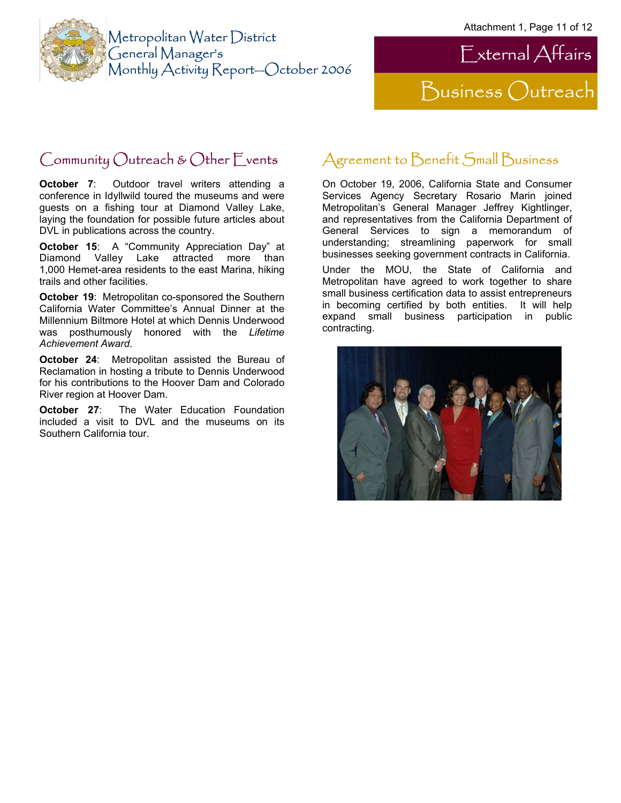



## Community Outreach & Other Events

**October 7:** Outdoor travel writers attending a conference in Idyllwild toured the museums and were guests on a fishing tour at Diamond Valley Lake, laying the foundation for possible future articles about DVL in publications across the country.

**October 15**: A "Community Appreciation Day" at Diamond Valley Lake attracted more than 1,000 Hemet-area residents to the east Marina, hiking trails and other facilities.

**October 19**: Metropolitan co-sponsored the Southern California Water Committee's Annual Dinner at the Millennium Biltmore Hotel at which Dennis Underwood was posthumously honored with the *Lifetime Achievement Award*.

**October 24**: Metropolitan assisted the Bureau of Reclamation in hosting a tribute to Dennis Underwood for his contributions to the Hoover Dam and Colorado River region at Hoover Dam.

**October 27:** The Water Education Foundation included a visit to DVL and the museums on its Southern California tour.

# Agreement to Benefit Small Business

On October 19, 2006, California State and Consumer Services Agency Secretary Rosario Marin joined Metropolitan's General Manager Jeffrey Kightlinger, and representatives from the California Department of General Services to sign a memorandum of understanding; streamlining paperwork for small businesses seeking government contracts in California.

Under the MOU, the State of California and Metropolitan have agreed to work together to share small business certification data to assist entrepreneurs in becoming certified by both entities. It will help expand small business participation in public contracting.